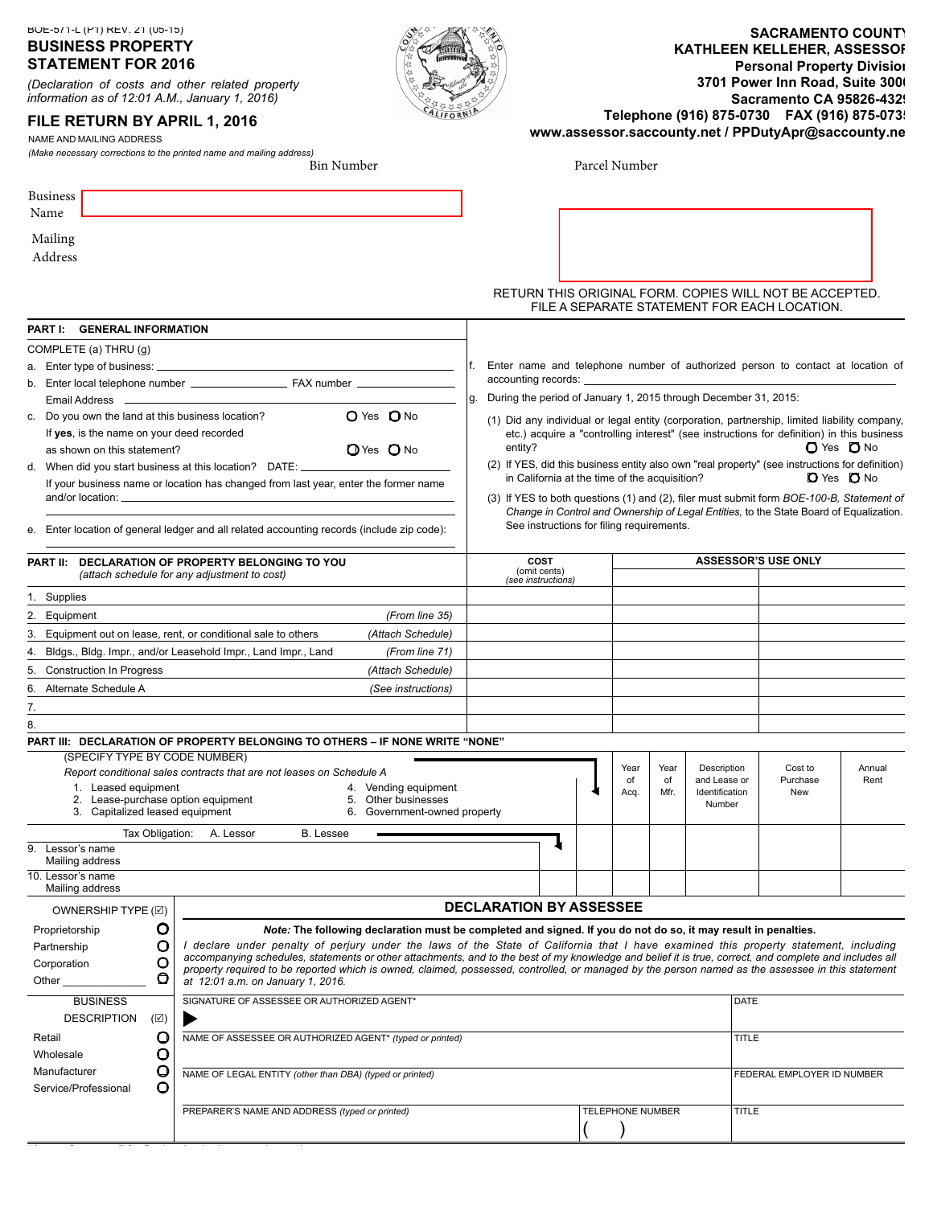BOE-571-L (P1) REV. 21 (05-15)

# **BUSINESS PROPERTY STATEMENT FOR 201**

*(Declaration of costs and other related property information as of 12:01 A.M., January 1, 201)* 

# **FILE RETURN BY APRIL 1, 201**

NAME AND MAILING ADDRESS

*(Make necessary corrections to the printed name and mailing address)* 

| <b>SACRAMENTO COUNT\</b>                            |
|-----------------------------------------------------|
| KATHLEEN KELLEHER, ASSESSOF                         |
| <b>Personal Property Division</b>                   |
| 3701 Power Inn Road, Suite 300                      |
| <b>Sacramento CA 95826-4329</b>                     |
| Telephone (916) 875-0730    FAX (916) 875-073       |
| www.assessor.saccounty.net / PPDutyApr@saccounty.ne |

Parcel Number

| <b>Business</b><br>Name              |                                 |               |                                                                                                                                                                                        |                                                                                                                |                                                                       |  |                  |            |                             |              |                                                                                                 |                          |
|--------------------------------------|---------------------------------|---------------|----------------------------------------------------------------------------------------------------------------------------------------------------------------------------------------|----------------------------------------------------------------------------------------------------------------|-----------------------------------------------------------------------|--|------------------|------------|-----------------------------|--------------|-------------------------------------------------------------------------------------------------|--------------------------|
|                                      |                                 |               |                                                                                                                                                                                        |                                                                                                                |                                                                       |  |                  |            |                             |              |                                                                                                 |                          |
| Mailing                              |                                 |               |                                                                                                                                                                                        |                                                                                                                |                                                                       |  |                  |            |                             |              |                                                                                                 |                          |
| Address                              |                                 |               |                                                                                                                                                                                        |                                                                                                                |                                                                       |  |                  |            |                             |              |                                                                                                 |                          |
|                                      |                                 |               |                                                                                                                                                                                        |                                                                                                                |                                                                       |  |                  |            |                             |              | RETURN THIS ORIGINAL FORM. COPIES WILL NOT BE ACCEPTED.                                         |                          |
|                                      |                                 |               |                                                                                                                                                                                        |                                                                                                                |                                                                       |  |                  |            |                             |              | FILE A SEPARATE STATEMENT FOR EACH LOCATION.                                                    |                          |
|                                      | PART I: GENERAL INFORMATION     |               |                                                                                                                                                                                        |                                                                                                                |                                                                       |  |                  |            |                             |              |                                                                                                 |                          |
|                                      | COMPLETE (a) THRU (g)           |               |                                                                                                                                                                                        |                                                                                                                |                                                                       |  |                  |            |                             |              |                                                                                                 |                          |
|                                      |                                 |               |                                                                                                                                                                                        |                                                                                                                |                                                                       |  |                  |            |                             |              | Enter name and telephone number of authorized person to contact at location of                  |                          |
|                                      |                                 |               |                                                                                                                                                                                        |                                                                                                                | accounting records:                                                   |  |                  |            |                             |              |                                                                                                 |                          |
| Email Address                        |                                 |               |                                                                                                                                                                                        |                                                                                                                | During the period of January 1, 2015 through December 31, 2015:<br>g. |  |                  |            |                             |              |                                                                                                 |                          |
|                                      |                                 |               | c. Do you own the land at this business location?                                                                                                                                      | O Yes O No                                                                                                     |                                                                       |  |                  |            |                             |              | (1) Did any individual or legal entity (corporation, partnership, limited liability company,    |                          |
|                                      |                                 |               | If yes, is the name on your deed recorded                                                                                                                                              |                                                                                                                |                                                                       |  |                  |            |                             |              | etc.) acquire a "controlling interest" (see instructions for definition) in this business       |                          |
|                                      | as shown on this statement?     |               |                                                                                                                                                                                        | O Yes O No                                                                                                     | entity?                                                               |  |                  |            |                             |              |                                                                                                 | <b>O</b> Yes <b>O</b> No |
|                                      |                                 |               | d. When did you start business at this location? DATE: _____                                                                                                                           |                                                                                                                |                                                                       |  |                  |            |                             |              | (2) If YES, did this business entity also own "real property" (see instructions for definition) |                          |
|                                      |                                 |               | If your business name or location has changed from last year, enter the former name                                                                                                    |                                                                                                                | in California at the time of the acquisition?                         |  |                  |            |                             |              |                                                                                                 | <b>D</b> Yes <b>D</b> No |
|                                      | and/or location: __             |               |                                                                                                                                                                                        |                                                                                                                |                                                                       |  |                  |            |                             |              | (3) If YES to both questions (1) and (2), filer must submit form BOE-100-B, Statement of        |                          |
|                                      |                                 |               |                                                                                                                                                                                        |                                                                                                                | See instructions for filing requirements.                             |  |                  |            |                             |              | Change in Control and Ownership of Legal Entities, to the State Board of Equalization.          |                          |
| е.                                   |                                 |               | Enter location of general ledger and all related accounting records (include zip code):                                                                                                |                                                                                                                |                                                                       |  |                  |            |                             |              |                                                                                                 |                          |
|                                      |                                 |               | PART II: DECLARATION OF PROPERTY BELONGING TO YOU                                                                                                                                      |                                                                                                                | COST                                                                  |  |                  |            |                             |              | <b>ASSESSOR'S USE ONLY</b>                                                                      |                          |
|                                      |                                 |               | (attach schedule for any adjustment to cost)                                                                                                                                           |                                                                                                                | (omit cents)<br>(see instructions)                                    |  |                  |            |                             |              |                                                                                                 |                          |
| 1. Supplies                          |                                 |               |                                                                                                                                                                                        |                                                                                                                |                                                                       |  |                  |            |                             |              |                                                                                                 |                          |
| 2. Equipment                         |                                 |               |                                                                                                                                                                                        | (From line 35)                                                                                                 |                                                                       |  |                  |            |                             |              |                                                                                                 |                          |
|                                      |                                 |               | 3. Equipment out on lease, rent, or conditional sale to others                                                                                                                         | (Attach Schedule)                                                                                              |                                                                       |  |                  |            |                             |              |                                                                                                 |                          |
| 4.                                   |                                 |               | Bldgs., Bldg. Impr., and/or Leasehold Impr., Land Impr., Land                                                                                                                          | (From line 71)                                                                                                 |                                                                       |  |                  |            |                             |              |                                                                                                 |                          |
| 5.                                   | <b>Construction In Progress</b> |               |                                                                                                                                                                                        | (Attach Schedule)                                                                                              |                                                                       |  |                  |            |                             |              |                                                                                                 |                          |
| 6.                                   | Alternate Schedule A            |               |                                                                                                                                                                                        | (See instructions)                                                                                             |                                                                       |  |                  |            |                             |              |                                                                                                 |                          |
| 7.                                   |                                 |               |                                                                                                                                                                                        |                                                                                                                |                                                                       |  |                  |            |                             |              |                                                                                                 |                          |
| 8.                                   |                                 |               |                                                                                                                                                                                        |                                                                                                                |                                                                       |  |                  |            |                             |              |                                                                                                 |                          |
|                                      |                                 |               | PART III: DECLARATION OF PROPERTY BELONGING TO OTHERS - IF NONE WRITE "NONE"                                                                                                           |                                                                                                                |                                                                       |  |                  |            |                             |              |                                                                                                 |                          |
|                                      |                                 |               | (SPECIFY TYPE BY CODE NUMBER)                                                                                                                                                          |                                                                                                                |                                                                       |  |                  |            |                             |              |                                                                                                 |                          |
|                                      |                                 |               | Report conditional sales contracts that are not leases on Schedule A                                                                                                                   |                                                                                                                |                                                                       |  | Year<br>of       | Year<br>of | Description<br>and Lease or |              | Cost to<br>Purchase                                                                             | Annual<br>Rent           |
|                                      | 1. Leased equipment             |               |                                                                                                                                                                                        | 4. Vending equipment                                                                                           |                                                                       |  | Acq.             | Mfr.       | Identification              |              | <b>New</b>                                                                                      |                          |
|                                      | 3. Capitalized leased equipment |               | 2. Lease-purchase option equipment                                                                                                                                                     | 5. Other businesses<br>6. Government-owned property                                                            |                                                                       |  |                  |            | Number                      |              |                                                                                                 |                          |
|                                      |                                 |               | B. Lessee                                                                                                                                                                              |                                                                                                                |                                                                       |  |                  |            |                             |              |                                                                                                 |                          |
| Lessor's name<br>9.                  |                                 |               | Tax Obligation:<br>A. Lessor                                                                                                                                                           |                                                                                                                |                                                                       |  |                  |            |                             |              |                                                                                                 |                          |
|                                      | Mailing address                 |               |                                                                                                                                                                                        |                                                                                                                |                                                                       |  |                  |            |                             |              |                                                                                                 |                          |
| 10. Lessor's name<br>Mailing address |                                 |               |                                                                                                                                                                                        |                                                                                                                |                                                                       |  |                  |            |                             |              |                                                                                                 |                          |
|                                      | OWNERSHIP TYPE (☑)              |               |                                                                                                                                                                                        |                                                                                                                | <b>DECLARATION BY ASSESSEE</b>                                        |  |                  |            |                             |              |                                                                                                 |                          |
| Proprietorship                       |                                 | O             |                                                                                                                                                                                        | Note: The following declaration must be completed and signed. If you do not do so, it may result in penalties. |                                                                       |  |                  |            |                             |              |                                                                                                 |                          |
| Partnership                          |                                 | O             | I declare under penalty of perjury under the laws of the State of California that I have examined this property statement, including                                                   |                                                                                                                |                                                                       |  |                  |            |                             |              |                                                                                                 |                          |
| Corporation                          |                                 | O             | accompanying schedules, statements or other attachments, and to the best of my knowledge and belief it is true, correct, and complete and includes all                                 |                                                                                                                |                                                                       |  |                  |            |                             |              |                                                                                                 |                          |
| Other                                |                                 | O             | property required to be reported which is owned, claimed, possessed, controlled, or managed by the person named as the assessee in this statement<br>at 12:01 a.m. on January 1, 2016. |                                                                                                                |                                                                       |  |                  |            |                             |              |                                                                                                 |                          |
|                                      |                                 |               |                                                                                                                                                                                        |                                                                                                                |                                                                       |  |                  |            |                             |              |                                                                                                 |                          |
|                                      | <b>BUSINESS</b>                 |               | SIGNATURE OF ASSESSEE OR AUTHORIZED AGENT*                                                                                                                                             |                                                                                                                |                                                                       |  |                  |            |                             | <b>DATE</b>  |                                                                                                 |                          |
|                                      | <b>DESCRIPTION</b>              | $(\boxtimes)$ |                                                                                                                                                                                        |                                                                                                                |                                                                       |  |                  |            |                             |              |                                                                                                 |                          |
| Retail                               |                                 | $\circ$       | NAME OF ASSESSEE OR AUTHORIZED AGENT* (typed or printed)                                                                                                                               |                                                                                                                |                                                                       |  |                  |            |                             | <b>TITLE</b> |                                                                                                 |                          |
| Wholesale                            |                                 | O             |                                                                                                                                                                                        |                                                                                                                |                                                                       |  |                  |            |                             |              |                                                                                                 |                          |
| Manufacturer<br>Service/Professional |                                 | O<br>O        | NAME OF LEGAL ENTITY (other than DBA) (typed or printed)                                                                                                                               |                                                                                                                |                                                                       |  |                  |            |                             |              | FEDERAL EMPLOYER ID NUMBER                                                                      |                          |
|                                      |                                 |               |                                                                                                                                                                                        |                                                                                                                |                                                                       |  | TELEPHONE NUMBER |            |                             | <b>TITLE</b> |                                                                                                 |                          |
|                                      |                                 |               | PREPARER'S NAME AND ADDRESS (typed or printed)                                                                                                                                         |                                                                                                                |                                                                       |  |                  |            |                             |              |                                                                                                 |                          |
|                                      |                                 |               |                                                                                                                                                                                        |                                                                                                                |                                                                       |  |                  |            |                             |              |                                                                                                 |                          |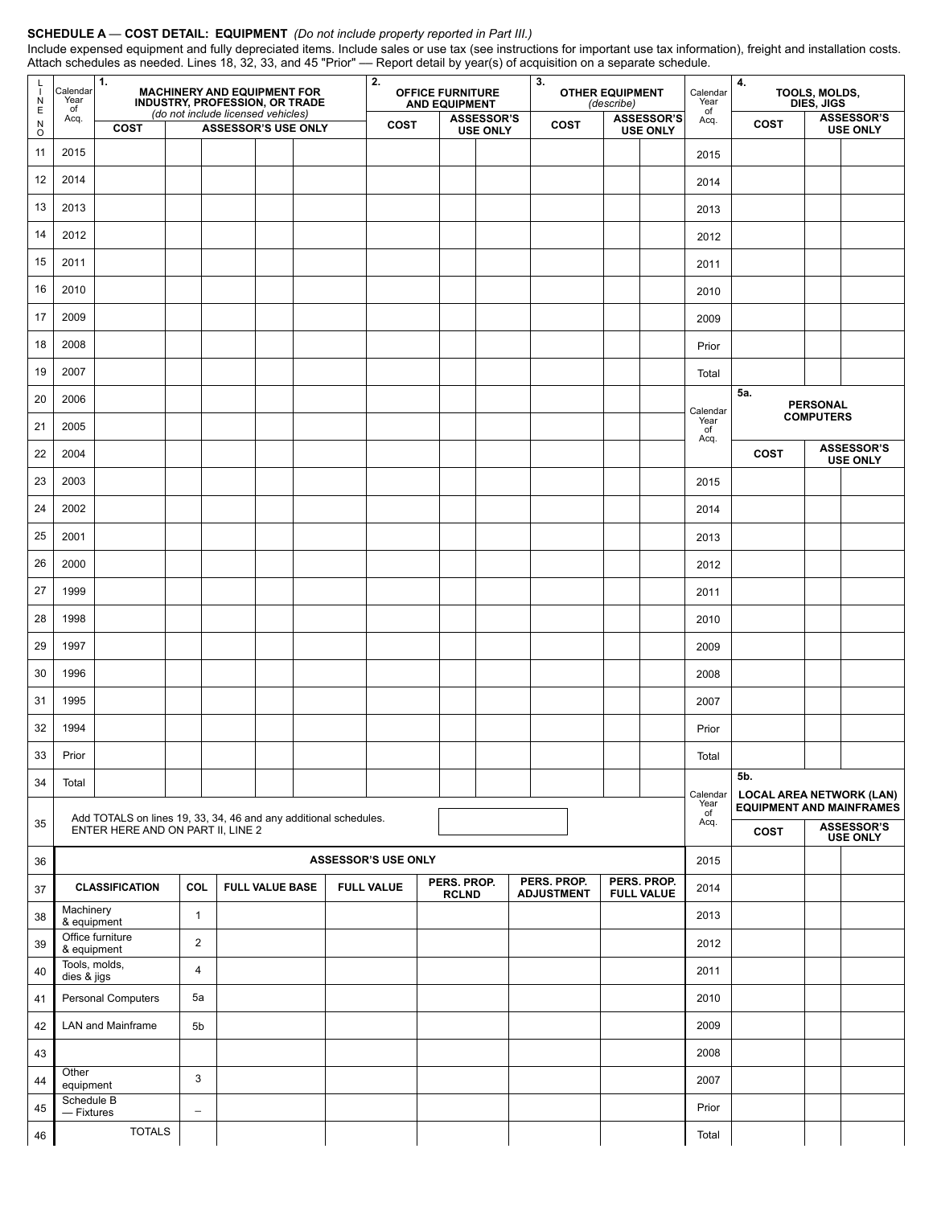#### **SCHEDULE A** — **COST DETAIL: EQUIPMENT** *(Do not include property reported in Part III.)*

Include expensed equipment and fully depreciated items. Include sales or use tax (see instructions for important use tax information), freight and installation costs. Attach schedules as needed. Lines 18, 32, 33, and 45 "Prior" –– Report detail by year(s) of acquisition on a separate schedule.

| L<br>$\mathbf{I}$<br>$\frac{N}{E}$    | Calendar<br>Year<br>of       | $\mathbf{1}$ .                                                   | <b>MACHINERY AND EQUIPMENT FOR</b><br>INDUSTRY, PROFESSION, OR TRADE<br>(do not include licensed vehicles) |  |                                                                                                                                          |  |  | 2.<br><b>OFFICE FURNITURE</b><br><b>AND EQUIPMENT</b> |                    |                                                                    |  | 3.                                   |                                  | <b>OTHER EQUIPMENT</b><br>(describe) |                                      | Calendar<br>Year<br>of | 4.               | TOOLS, MOLDS,<br>DIES, JIGS |                                      |  |
|---------------------------------------|------------------------------|------------------------------------------------------------------|------------------------------------------------------------------------------------------------------------|--|------------------------------------------------------------------------------------------------------------------------------------------|--|--|-------------------------------------------------------|--------------------|--------------------------------------------------------------------|--|--------------------------------------|----------------------------------|--------------------------------------|--------------------------------------|------------------------|------------------|-----------------------------|--------------------------------------|--|
| $\begin{array}{c} N \\ O \end{array}$ | Acq.                         | <b>COST</b>                                                      |                                                                                                            |  | <b>ASSESSOR'S</b><br><b>ASSESSOR'S</b><br><b>COST</b><br><b>COST</b><br><b>ASSESSOR'S USE ONLY</b><br><b>USE ONLY</b><br><b>USE ONLY</b> |  |  |                                                       | Acq.               | COST                                                               |  | <b>ASSESSOR'S</b><br><b>USE ONLY</b> |                                  |                                      |                                      |                        |                  |                             |                                      |  |
| 11                                    | 2015                         |                                                                  |                                                                                                            |  |                                                                                                                                          |  |  |                                                       |                    |                                                                    |  |                                      |                                  |                                      |                                      | 2015                   |                  |                             |                                      |  |
| 12                                    | 2014                         |                                                                  |                                                                                                            |  |                                                                                                                                          |  |  |                                                       |                    |                                                                    |  |                                      |                                  |                                      |                                      | 2014                   |                  |                             |                                      |  |
| 13                                    | 2013                         |                                                                  |                                                                                                            |  |                                                                                                                                          |  |  |                                                       |                    |                                                                    |  |                                      |                                  |                                      |                                      | 2013                   |                  |                             |                                      |  |
| 14                                    | 2012                         |                                                                  |                                                                                                            |  |                                                                                                                                          |  |  |                                                       |                    |                                                                    |  |                                      |                                  |                                      |                                      | 2012                   |                  |                             |                                      |  |
| 15                                    | 2011                         |                                                                  |                                                                                                            |  |                                                                                                                                          |  |  |                                                       |                    |                                                                    |  |                                      |                                  |                                      |                                      | 2011                   |                  |                             |                                      |  |
| 16                                    | 2010                         |                                                                  |                                                                                                            |  |                                                                                                                                          |  |  |                                                       |                    |                                                                    |  |                                      |                                  |                                      |                                      | 2010                   |                  |                             |                                      |  |
| 17                                    | 2009                         |                                                                  |                                                                                                            |  |                                                                                                                                          |  |  |                                                       |                    |                                                                    |  |                                      |                                  |                                      |                                      | 2009                   |                  |                             |                                      |  |
| 18                                    | 2008                         |                                                                  |                                                                                                            |  |                                                                                                                                          |  |  |                                                       |                    |                                                                    |  |                                      |                                  |                                      |                                      | Prior                  |                  |                             |                                      |  |
| 19                                    | 2007                         |                                                                  |                                                                                                            |  |                                                                                                                                          |  |  |                                                       |                    |                                                                    |  |                                      |                                  |                                      |                                      | Total                  |                  |                             |                                      |  |
| 20                                    | 2006                         |                                                                  |                                                                                                            |  |                                                                                                                                          |  |  |                                                       |                    |                                                                    |  |                                      |                                  |                                      |                                      |                        | 5a.              | <b>PERSONAL</b>             |                                      |  |
| 21                                    | 2005                         |                                                                  |                                                                                                            |  |                                                                                                                                          |  |  |                                                       |                    |                                                                    |  |                                      |                                  |                                      |                                      | Calendar<br>Year<br>of | <b>COMPUTERS</b> |                             |                                      |  |
| 22                                    | 2004                         |                                                                  |                                                                                                            |  |                                                                                                                                          |  |  |                                                       |                    |                                                                    |  |                                      |                                  |                                      |                                      | Acq.                   | <b>COST</b>      |                             | <b>ASSESSOR'S</b><br><b>USE ONLY</b> |  |
| 23                                    | 2003                         |                                                                  |                                                                                                            |  |                                                                                                                                          |  |  |                                                       |                    |                                                                    |  |                                      |                                  |                                      |                                      | 2015                   |                  |                             |                                      |  |
| 24                                    | 2002                         |                                                                  |                                                                                                            |  |                                                                                                                                          |  |  |                                                       |                    |                                                                    |  |                                      |                                  |                                      |                                      | 2014                   |                  |                             |                                      |  |
| 25                                    | 2001                         |                                                                  |                                                                                                            |  |                                                                                                                                          |  |  |                                                       |                    |                                                                    |  |                                      |                                  |                                      |                                      | 2013                   |                  |                             |                                      |  |
| 26                                    | 2000                         |                                                                  |                                                                                                            |  |                                                                                                                                          |  |  |                                                       |                    |                                                                    |  |                                      |                                  |                                      |                                      | 2012                   |                  |                             |                                      |  |
| 27                                    | 1999                         |                                                                  |                                                                                                            |  |                                                                                                                                          |  |  |                                                       |                    |                                                                    |  |                                      |                                  |                                      |                                      | 2011                   |                  |                             |                                      |  |
| 28                                    | 1998                         |                                                                  |                                                                                                            |  |                                                                                                                                          |  |  |                                                       |                    |                                                                    |  |                                      |                                  |                                      |                                      | 2010                   |                  |                             |                                      |  |
| 29                                    | 1997                         |                                                                  |                                                                                                            |  |                                                                                                                                          |  |  |                                                       |                    |                                                                    |  |                                      |                                  |                                      |                                      | 2009                   |                  |                             |                                      |  |
| 30                                    | 1996                         |                                                                  |                                                                                                            |  |                                                                                                                                          |  |  |                                                       |                    |                                                                    |  |                                      |                                  |                                      |                                      | 2008                   |                  |                             |                                      |  |
| 31                                    | 1995                         |                                                                  |                                                                                                            |  |                                                                                                                                          |  |  |                                                       |                    |                                                                    |  |                                      |                                  |                                      |                                      | 2007                   |                  |                             |                                      |  |
| 32                                    | 1994                         |                                                                  |                                                                                                            |  |                                                                                                                                          |  |  |                                                       |                    |                                                                    |  |                                      |                                  |                                      |                                      | Prior                  |                  |                             |                                      |  |
| $33\,$                                | Prior                        |                                                                  |                                                                                                            |  |                                                                                                                                          |  |  |                                                       |                    |                                                                    |  |                                      |                                  |                                      |                                      | Total                  |                  |                             |                                      |  |
| 34                                    | Total                        |                                                                  |                                                                                                            |  |                                                                                                                                          |  |  |                                                       |                    |                                                                    |  |                                      |                                  |                                      |                                      | Calendar               | 5b.              |                             |                                      |  |
|                                       |                              | Add TOTALS on lines 19, 33, 34, 46 and any additional schedules. |                                                                                                            |  |                                                                                                                                          |  |  |                                                       | Year<br>of<br>Acq. | <b>LOCAL AREA NETWORK (LAN)</b><br><b>EQUIPMENT AND MAINFRAMES</b> |  |                                      |                                  |                                      |                                      |                        |                  |                             |                                      |  |
| 35                                    |                              | ENTER HERE AND ON PART II, LINE 2                                |                                                                                                            |  |                                                                                                                                          |  |  |                                                       |                    |                                                                    |  |                                      | COST                             |                                      | <b>ASSESSOR'S</b><br><b>USE ONLY</b> |                        |                  |                             |                                      |  |
| $36\,$                                |                              |                                                                  |                                                                                                            |  |                                                                                                                                          |  |  | <b>ASSESSOR'S USE ONLY</b>                            |                    |                                                                    |  |                                      |                                  |                                      |                                      | 2015                   |                  |                             |                                      |  |
| 37                                    |                              | <b>CLASSIFICATION</b>                                            | COL                                                                                                        |  | <b>FULL VALUE BASE</b>                                                                                                                   |  |  | <b>FULL VALUE</b>                                     |                    | PERS. PROP.<br><b>RCLND</b>                                        |  |                                      | PERS. PROP.<br><b>ADJUSTMENT</b> |                                      | PERS. PROP.<br><b>FULL VALUE</b>     | 2014                   |                  |                             |                                      |  |
| $38\,$                                | Machinery<br>& equipment     |                                                                  | $\mathbf{1}$                                                                                               |  |                                                                                                                                          |  |  |                                                       |                    |                                                                    |  |                                      |                                  |                                      |                                      | 2013                   |                  |                             |                                      |  |
| 39                                    | & equipment                  | Office furniture                                                 | $\overline{c}$                                                                                             |  |                                                                                                                                          |  |  |                                                       |                    |                                                                    |  |                                      |                                  |                                      |                                      | 2012                   |                  |                             |                                      |  |
| 40                                    | Tools, molds,<br>dies & jigs |                                                                  | 4                                                                                                          |  |                                                                                                                                          |  |  |                                                       |                    |                                                                    |  |                                      |                                  |                                      |                                      | 2011                   |                  |                             |                                      |  |
| 41                                    |                              | Personal Computers                                               | 5a                                                                                                         |  |                                                                                                                                          |  |  |                                                       |                    |                                                                    |  |                                      |                                  |                                      |                                      | 2010                   |                  |                             |                                      |  |
| 42                                    |                              | LAN and Mainframe                                                | 5b                                                                                                         |  |                                                                                                                                          |  |  |                                                       |                    |                                                                    |  |                                      |                                  |                                      |                                      | 2009                   |                  |                             |                                      |  |
| 43                                    |                              |                                                                  |                                                                                                            |  |                                                                                                                                          |  |  |                                                       |                    |                                                                    |  |                                      |                                  |                                      |                                      | 2008                   |                  |                             |                                      |  |
| 44                                    | Other<br>equipment           |                                                                  | 3                                                                                                          |  |                                                                                                                                          |  |  |                                                       |                    |                                                                    |  |                                      |                                  |                                      |                                      | 2007                   |                  |                             |                                      |  |
| 45                                    | Schedule B<br>$-$ Fixtures   |                                                                  | $\overline{\phantom{a}}$                                                                                   |  |                                                                                                                                          |  |  |                                                       |                    |                                                                    |  |                                      |                                  |                                      |                                      | Prior                  |                  |                             |                                      |  |
| ${\bf 46}$                            |                              | <b>TOTALS</b>                                                    |                                                                                                            |  |                                                                                                                                          |  |  |                                                       |                    |                                                                    |  |                                      |                                  |                                      |                                      | Total                  |                  |                             |                                      |  |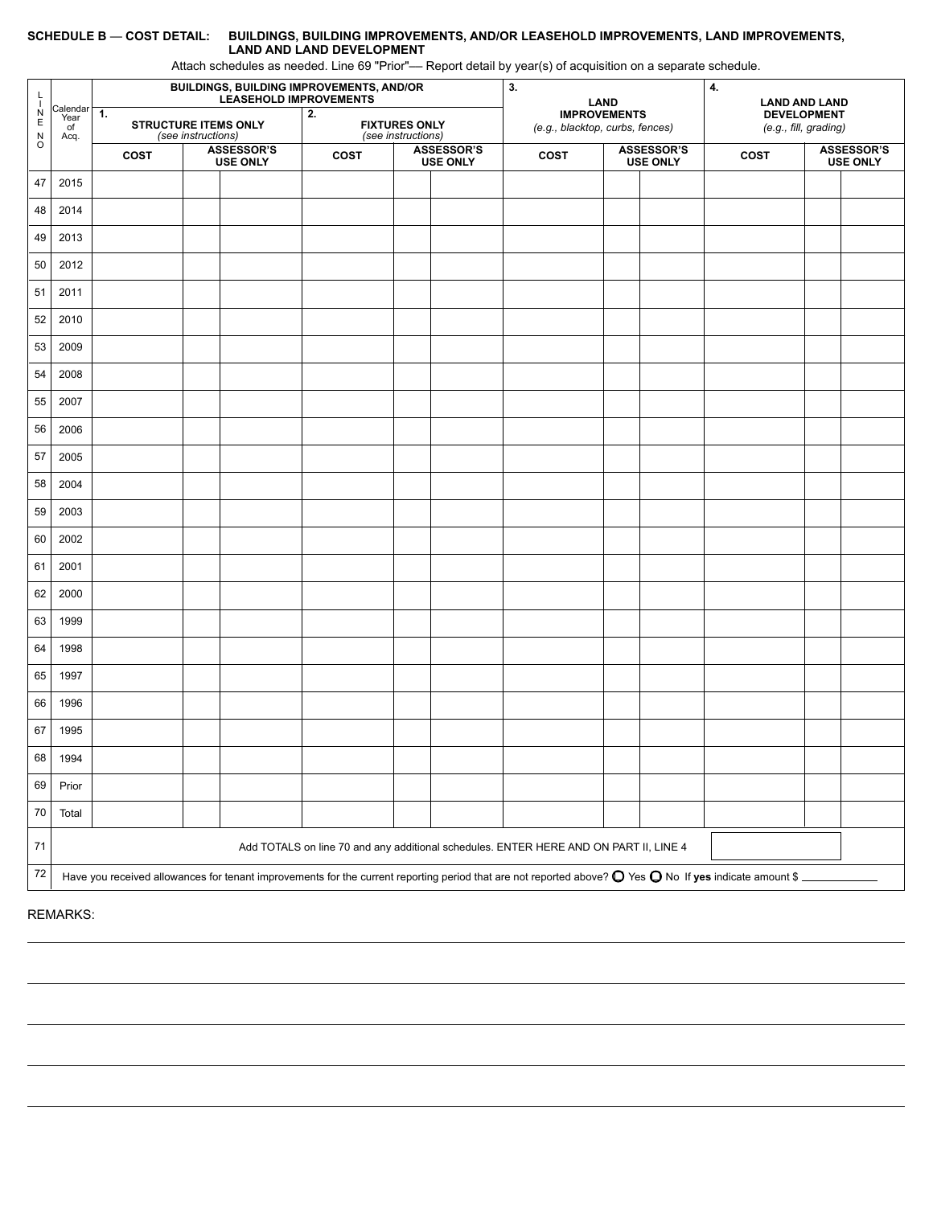#### **SCHEDULE B** — **COST DETAIL: BUILDINGS, BUILDING IMPROVEMENTS, AND/OR LEASEHOLD IMPROVEMENTS, LAND IMPROVEMENTS, LAND AND LAND DEVELOPMENT**

Attach schedules as needed. Line 69 "Prior"–– Report detail by year(s) of acquisition on a separate schedule.

| L<br>$\mathbf{I}$                                        |                                                                                                                                                                           |                                               |                    |                                      | <b>BUILDINGS, BUILDING IMPROVEMENTS, AND/OR</b><br><b>LEASEHOLD IMPROVEMENTS</b> |                    | 3.                                   | <b>LAND</b>                                                                           |                                      | 4.<br><b>LAND AND LAND</b> |                                             |                                      |  |
|----------------------------------------------------------|---------------------------------------------------------------------------------------------------------------------------------------------------------------------------|-----------------------------------------------|--------------------|--------------------------------------|----------------------------------------------------------------------------------|--------------------|--------------------------------------|---------------------------------------------------------------------------------------|--------------------------------------|----------------------------|---------------------------------------------|--------------------------------------|--|
| $\frac{N}{E}$<br>$\begin{array}{c}\nN \\ O\n\end{array}$ | Calendar<br>Year<br>of<br>Acq.                                                                                                                                            | $\mathbf{1}$ .<br><b>STRUCTURE ITEMS ONLY</b> | (see instructions) |                                      | 2.<br><b>FIXTURES ONLY</b>                                                       | (see instructions) |                                      | <b>IMPROVEMENTS</b><br>(e.g., blacktop, curbs, fences)                                |                                      |                            | <b>DEVELOPMENT</b><br>(e.g., fill, grading) |                                      |  |
|                                                          |                                                                                                                                                                           | COST                                          |                    | <b>ASSESSOR'S</b><br><b>USE ONLY</b> | COST                                                                             |                    | <b>ASSESSOR'S</b><br><b>USE ONLY</b> | <b>COST</b>                                                                           | <b>ASSESSOR'S</b><br><b>USE ONLY</b> |                            | <b>COST</b>                                 | <b>ASSESSOR'S</b><br><b>USE ONLY</b> |  |
| 47                                                       | 2015                                                                                                                                                                      |                                               |                    |                                      |                                                                                  |                    |                                      |                                                                                       |                                      |                            |                                             |                                      |  |
| 48                                                       | 2014                                                                                                                                                                      |                                               |                    |                                      |                                                                                  |                    |                                      |                                                                                       |                                      |                            |                                             |                                      |  |
| 49                                                       | 2013                                                                                                                                                                      |                                               |                    |                                      |                                                                                  |                    |                                      |                                                                                       |                                      |                            |                                             |                                      |  |
| 50                                                       | 2012                                                                                                                                                                      |                                               |                    |                                      |                                                                                  |                    |                                      |                                                                                       |                                      |                            |                                             |                                      |  |
| 51                                                       | 2011                                                                                                                                                                      |                                               |                    |                                      |                                                                                  |                    |                                      |                                                                                       |                                      |                            |                                             |                                      |  |
| 52                                                       | 2010                                                                                                                                                                      |                                               |                    |                                      |                                                                                  |                    |                                      |                                                                                       |                                      |                            |                                             |                                      |  |
| 53                                                       | 2009                                                                                                                                                                      |                                               |                    |                                      |                                                                                  |                    |                                      |                                                                                       |                                      |                            |                                             |                                      |  |
| 54                                                       | 2008                                                                                                                                                                      |                                               |                    |                                      |                                                                                  |                    |                                      |                                                                                       |                                      |                            |                                             |                                      |  |
| 55                                                       | 2007                                                                                                                                                                      |                                               |                    |                                      |                                                                                  |                    |                                      |                                                                                       |                                      |                            |                                             |                                      |  |
| 56                                                       | 2006                                                                                                                                                                      |                                               |                    |                                      |                                                                                  |                    |                                      |                                                                                       |                                      |                            |                                             |                                      |  |
| 57                                                       | 2005                                                                                                                                                                      |                                               |                    |                                      |                                                                                  |                    |                                      |                                                                                       |                                      |                            |                                             |                                      |  |
| 58                                                       | 2004                                                                                                                                                                      |                                               |                    |                                      |                                                                                  |                    |                                      |                                                                                       |                                      |                            |                                             |                                      |  |
| 59                                                       | 2003                                                                                                                                                                      |                                               |                    |                                      |                                                                                  |                    |                                      |                                                                                       |                                      |                            |                                             |                                      |  |
| 60                                                       | 2002                                                                                                                                                                      |                                               |                    |                                      |                                                                                  |                    |                                      |                                                                                       |                                      |                            |                                             |                                      |  |
| 61                                                       | 2001                                                                                                                                                                      |                                               |                    |                                      |                                                                                  |                    |                                      |                                                                                       |                                      |                            |                                             |                                      |  |
| 62                                                       | 2000                                                                                                                                                                      |                                               |                    |                                      |                                                                                  |                    |                                      |                                                                                       |                                      |                            |                                             |                                      |  |
| 63                                                       | 1999                                                                                                                                                                      |                                               |                    |                                      |                                                                                  |                    |                                      |                                                                                       |                                      |                            |                                             |                                      |  |
| 64                                                       | 1998                                                                                                                                                                      |                                               |                    |                                      |                                                                                  |                    |                                      |                                                                                       |                                      |                            |                                             |                                      |  |
| 65                                                       | 1997                                                                                                                                                                      |                                               |                    |                                      |                                                                                  |                    |                                      |                                                                                       |                                      |                            |                                             |                                      |  |
| 66                                                       | 1996                                                                                                                                                                      |                                               |                    |                                      |                                                                                  |                    |                                      |                                                                                       |                                      |                            |                                             |                                      |  |
| 67                                                       | 1995                                                                                                                                                                      |                                               |                    |                                      |                                                                                  |                    |                                      |                                                                                       |                                      |                            |                                             |                                      |  |
| 68                                                       | 1994                                                                                                                                                                      |                                               |                    |                                      |                                                                                  |                    |                                      |                                                                                       |                                      |                            |                                             |                                      |  |
| 69                                                       | Prior                                                                                                                                                                     |                                               |                    |                                      |                                                                                  |                    |                                      |                                                                                       |                                      |                            |                                             |                                      |  |
| $70\,$                                                   | Total                                                                                                                                                                     |                                               |                    |                                      |                                                                                  |                    |                                      |                                                                                       |                                      |                            |                                             |                                      |  |
| $71$                                                     |                                                                                                                                                                           |                                               |                    |                                      |                                                                                  |                    |                                      | Add TOTALS on line 70 and any additional schedules. ENTER HERE AND ON PART II, LINE 4 |                                      |                            |                                             |                                      |  |
| 72                                                       | Have you received allowances for tenant improvements for the current reporting period that are not reported above? $\bigcirc$ Yes $\bigcirc$ No If yes indicate amount \$ |                                               |                    |                                      |                                                                                  |                    |                                      |                                                                                       |                                      |                            |                                             |                                      |  |

REMARKS: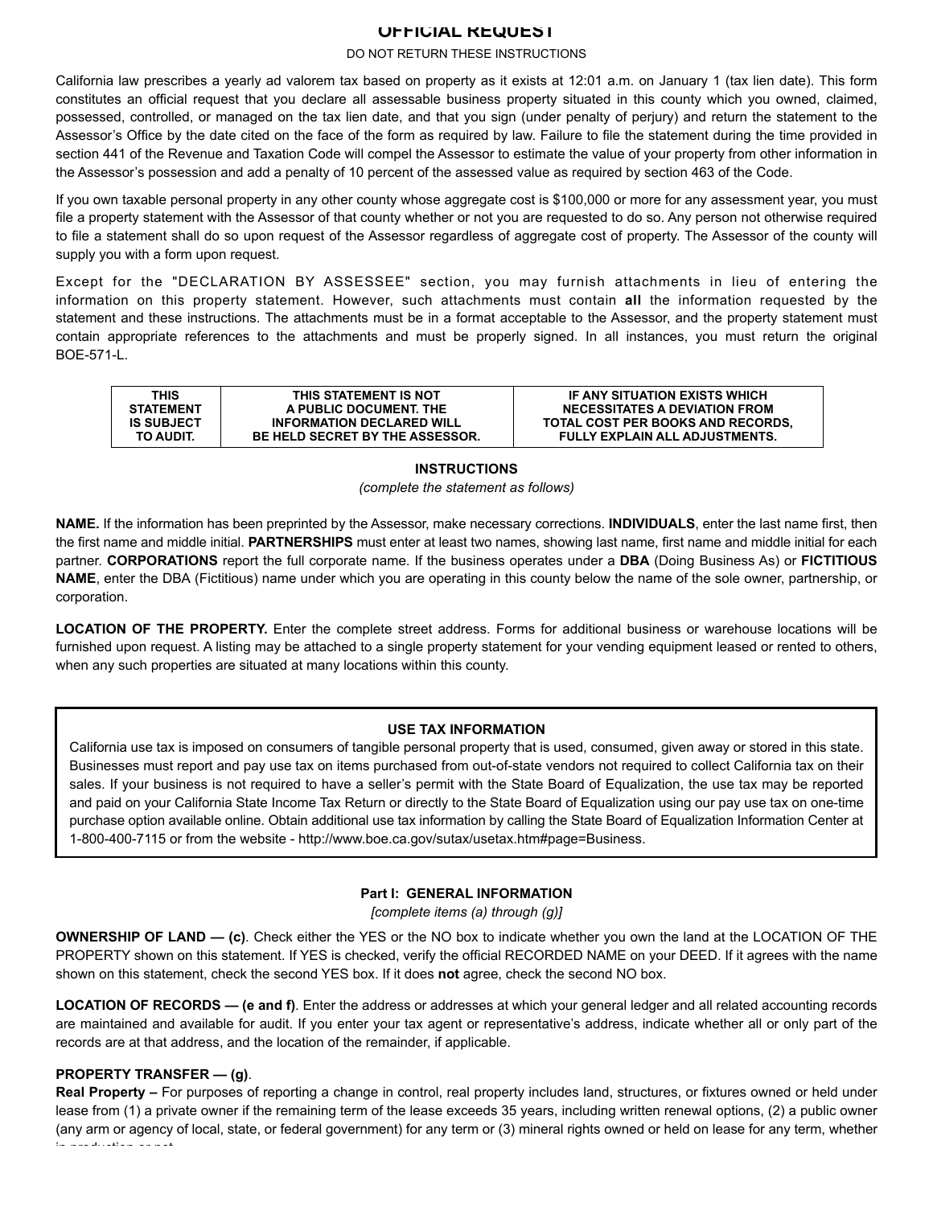# **OFFICIAL REQUEST**

#### DO NOT RETURN THESE INSTRUCTIONS

California law prescribes a yearly ad valorem tax based on property as it exists at 12:01 a.m. on January 1 (tax lien date). This form constitutes an official request that you declare all assessable business property situated in this county which you owned, claimed, possessed, controlled, or managed on the tax lien date, and that you sign (under penalty of perjury) and return the statement to the Assessor's Office by the date cited on the face of the form as required by law. Failure to file the statement during the time provided in section 441 of the Revenue and Taxation Code will compel the Assessor to estimate the value of your property from other information in the Assessor's possession and add a penalty of 10 percent of the assessed value as required by section 463 of the Code.

If you own taxable personal property in any other county whose aggregate cost is \$100,000 or more for any assessment year, you must file a property statement with the Assessor of that county whether or not you are requested to do so. Any person not otherwise required to file a statement shall do so upon request of the Assessor regardless of aggregate cost of property. The Assessor of the county will supply you with a form upon request.

 information on this property statement. However, such attachments must contain **all** the information requested by the Except for the "DECLARATION BY ASSESSEE" section, you may furnish attachments in lieu of entering the statement and these instructions. The attachments must be in a format acceptable to the Assessor, and the property statement must contain appropriate references to the attachments and must be properly signed. In all instances, you must return the original BOE-571-L.

| <b>THIS</b>       | THIS STATEMENT IS NOT                  | IF ANY SITUATION EXISTS WHICH         |
|-------------------|----------------------------------------|---------------------------------------|
| <b>STATEMENT</b>  | A PUBLIC DOCUMENT. THE                 | <b>NECESSITATES A DEVIATION FROM</b>  |
| <b>IS SUBJECT</b> | <b>INFORMATION DECLARED WILL</b>       | TOTAL COST PER BOOKS AND RECORDS.     |
| TO AUDIT.         | <b>BE HELD SECRET BY THE ASSESSOR.</b> | <b>FULLY EXPLAIN ALL ADJUSTMENTS.</b> |

# **INSTRUCTIONS**

*(complete the statement as follows)* 

 **NAME**, enter the DBA (Fictitious) name under which you are operating in this county below the name of the sole owner, partnership, or **NAME.** If the information has been preprinted by the Assessor, make necessary corrections. **INDIVIDUALS**, enter the last name first, then the first name and middle initial. PARTNERSHIPS must enter at least two names, showing last name, first name and middle initial for each partner. **CORPORATIONS** report the full corporate name. If the business operates under a **DBA** (Doing Business As) or **FICTITIOUS**  corporation.

**LOCATION OF THE PROPERTY.** Enter the complete street address. Forms for additional business or warehouse locations will be furnished upon request. A listing may be attached to a single property statement for your vending equipment leased or rented to others, when any such properties are situated at many locations within this county.

# **USE TAX INFORMATION**

 California use tax is imposed on consumers of tangible personal property that is used, consumed, given away or stored in this state. Businesses must report and pay use tax on items purchased from out-of-state vendors not required to collect California tax on their sales. If your business is not required to have a seller's permit with the State Board of Equalization, the use tax may be reported and paid on your California State Income Tax Return or directly to the State Board of Equalization using our pay use tax on one-time purchase option available online. Obtain additional use tax information by calling the State Board of Equalization Information Center at 1-800-400-7115 or from the website -<http://www.boe.ca.gov/sutax/usetax.htm#page=Business>.

# **Part I: GENERAL INFORMATION**

*[complete items (a) through (g)]* 

**OWNERSHIP OF LAND — (c)**. Check either the YES or the NO box to indicate whether you own the land at the LOCATION OF THE PROPERTY shown on this statement. If YES is checked, verify the official RECORDED NAME on your DEED. If it agrees with the name shown on this statement, check the second YES box. If it does **not** agree, check the second NO box.

**LOCATION OF RECORDS — (e and f)**. Enter the address or addresses at which your general ledger and all related accounting records are maintained and available for audit. If you enter your tax agent or representative's address, indicate whether all or only part of the records are at that address, and the location of the remainder, if applicable.

# **PROPERTY TRANSFER — (g)**.

**Real Property –** For purposes of reporting a change in control, real property includes land, structures, or fixtures owned or held under lease from (1) a private owner if the remaining term of the lease exceeds 35 years, including written renewal options, (2) a public owner (any arm or agency of local, state, or federal government) for any term or (3) mineral rights owned or held on lease for any term, whether in production or not.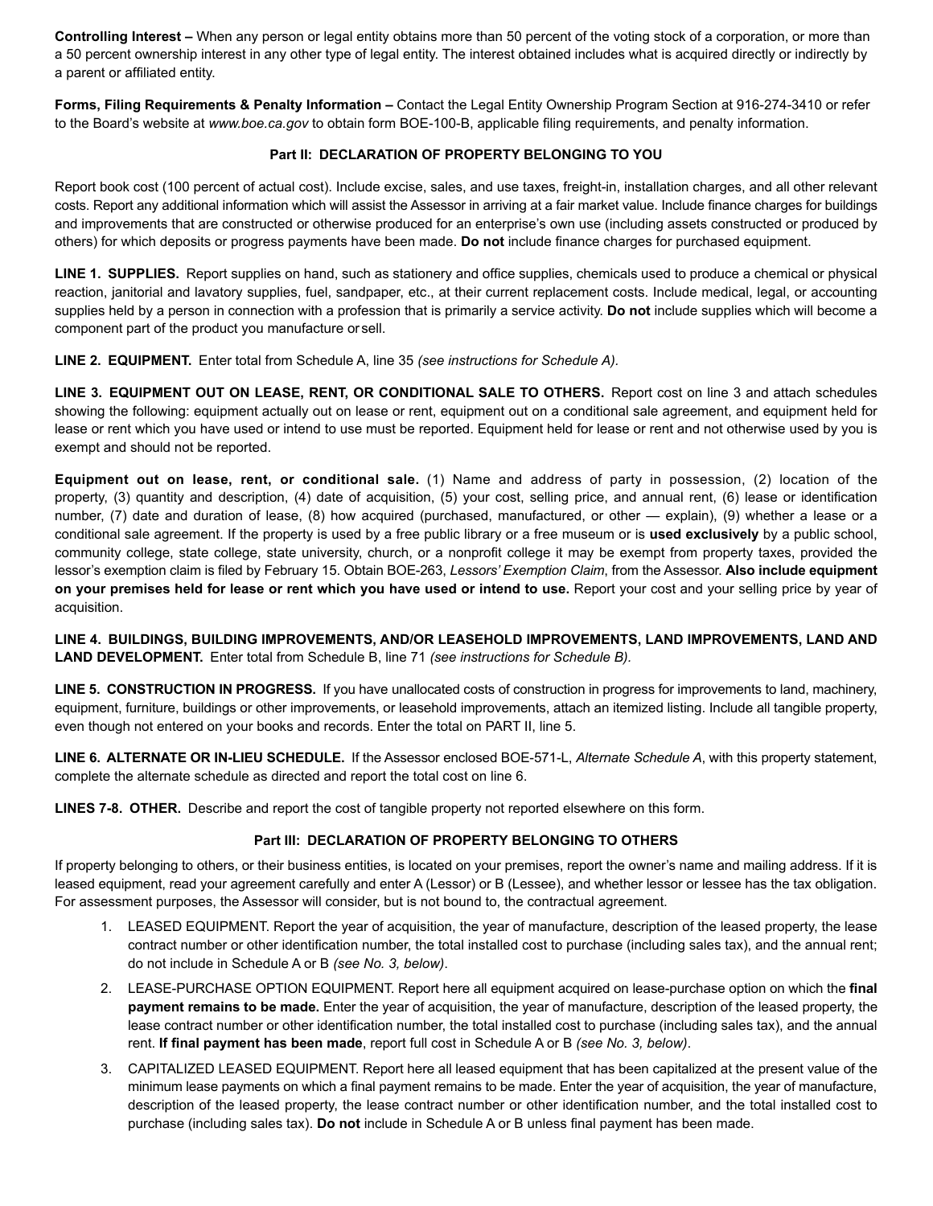**Controlling Interest –** When any person or legal entity obtains more than 50 percent of the voting stock of a corporation, or more than a 50 percent ownership interest in any other type of legal entity. The interest obtained includes what is acquired directly or indirectly by a parent or affiliated entity.

**Forms, Filing Requirements & Penalty Information –** Contact the Legal Entity Ownership Program Section at 916-274-3410 or refer to the Board's website at *[www.boe.ca.gov](http:www.boe.ca.gov)* to obtain form BOE-100-B, applicable filing requirements, and penalty information.

# **Part II: DECLARATION OF PROPERTY BELONGING TO YOU**

costs. Report any additional information which will assist the Assessor in arriving at a fair market value. Include finance charges for buildings Report book cost (100 percent of actual cost). Include excise, sales, and use taxes, freight-in, installation charges, and all other relevant and improvements that are constructed or otherwise produced for an enterprise's own use (including assets constructed or produced by others) for which deposits or progress payments have been made. **Do not** include finance charges for purchased equipment.

**LINE 1. SUPPLIES.** Report supplies on hand, such as stationery and office supplies, chemicals used to produce a chemical or physical reaction, janitorial and lavatory supplies, fuel, sandpaper, etc., at their current replacement costs. Include medical, legal, or accounting supplies held by a person in connection with a profession that is primarily a service activity. **Do not** include supplies which will become a component part of the product you manufacture orsell.

**LINE 2. EQUIPMENT.** Enter total from Schedule A, line 35 *(see instructions for Schedule A).* 

**LINE 3. EQUIPMENT OUT ON LEASE, RENT, OR CONDITIONAL SALE TO OTHERS.** Report cost on line 3 and attach schedules showing the following: equipment actually out on lease or rent, equipment out on a conditional sale agreement, and equipment held for lease or rent which you have used or intend to use must be reported. Equipment held for lease or rent and not otherwise used by you is exempt and should not be reported.

 **Equipment out on lease, rent, or conditional sale.** (1) Name and address of party in possession, (2) location of the property, (3) quantity and description, (4) date of acquisition, (5) your cost, selling price, and annual rent, (6) lease or identification number, (7) date and duration of lease, (8) how acquired (purchased, manufactured, or other — explain), (9) whether a lease or a conditional sale agreement. If the property is used by a free public library or a free museum or is **used exclusively** by a public school, community college, state college, state university, church, or a nonprofit college it may be exempt from property taxes, provided the lessor's exemption claim is filed by February 15. Obtain BOE-263, Lessors' Exemption Claim, from the Assessor. Also include equipment **on your premises held for lease or rent which you have used or intend to use.** Report your cost and your selling price by year of acquisition.

**LINE 4. BUILDINGS, BUILDING IMPROVEMENTS, AND/OR LEASEHOLD IMPROVEMENTS, LAND IMPROVEMENTS, LAND AND LAND DEVELOPMENT.** Enter total from Schedule B, line 71 *(see instructions for Schedule B).* 

**LINE 5. CONSTRUCTION IN PROGRESS.** If you have unallocated costs of construction in progress for improvements to land, machinery, equipment, furniture, buildings or other improvements, or leasehold improvements, attach an itemized listing. Include all tangible property, even though not entered on your books and records. Enter the total on PART II, line 5.

 **LINE 6. ALTERNATE OR IN-LIEU SCHEDULE.** If the Assessor enclosed BOE-571-L, *Alternate Schedule A*, with this property statement, complete the alternate schedule as directed and report the total cost on line 6.

**LINES 7-8. OTHER.** Describe and report the cost of tangible property not reported elsewhere on this form.

# **Part III: DECLARATION OF PROPERTY BELONGING TO OTHERS**

If property belonging to others, or their business entities, is located on your premises, report the owner's name and mailing address. If it is leased equipment, read your agreement carefully and enter A (Lessor) or B (Lessee), and whether lessor or lessee has the tax obligation. For assessment purposes, the Assessor will consider, but is not bound to, the contractual agreement.

- 1. LEASED EQUIPMENT. Report the year of acquisition, the year of manufacture, description of the leased property, the lease contract number or other identification number, the total installed cost to purchase (including sales tax), and the annual rent; do not include in Schedule A or B *(see No. 3, below)*.
- 2. LEASE-PURCHASE OPTION EQUIPMENT. Report here all equipment acquired on lease-purchase option on which the final **payment remains to be made.** Enter the year of acquisition, the year of manufacture, description of the leased property, the lease contract number or other identification number, the total installed cost to purchase (including sales tax), and the annual rent. If final payment has been made, report full cost in Schedule A or B *(see No. 3, below)*.
- 3. CAPITALIZED LEASED EQUIPMENT. Report here all leased equipment that has been capitalized at the present value of the minimum lease payments on which a final payment remains to be made. Enter the year of acquisition, the year of manufacture, description of the leased property, the lease contract number or other identification number, and the total installed cost to purchase (including sales tax). Do not include in Schedule A or B unless final payment has been made.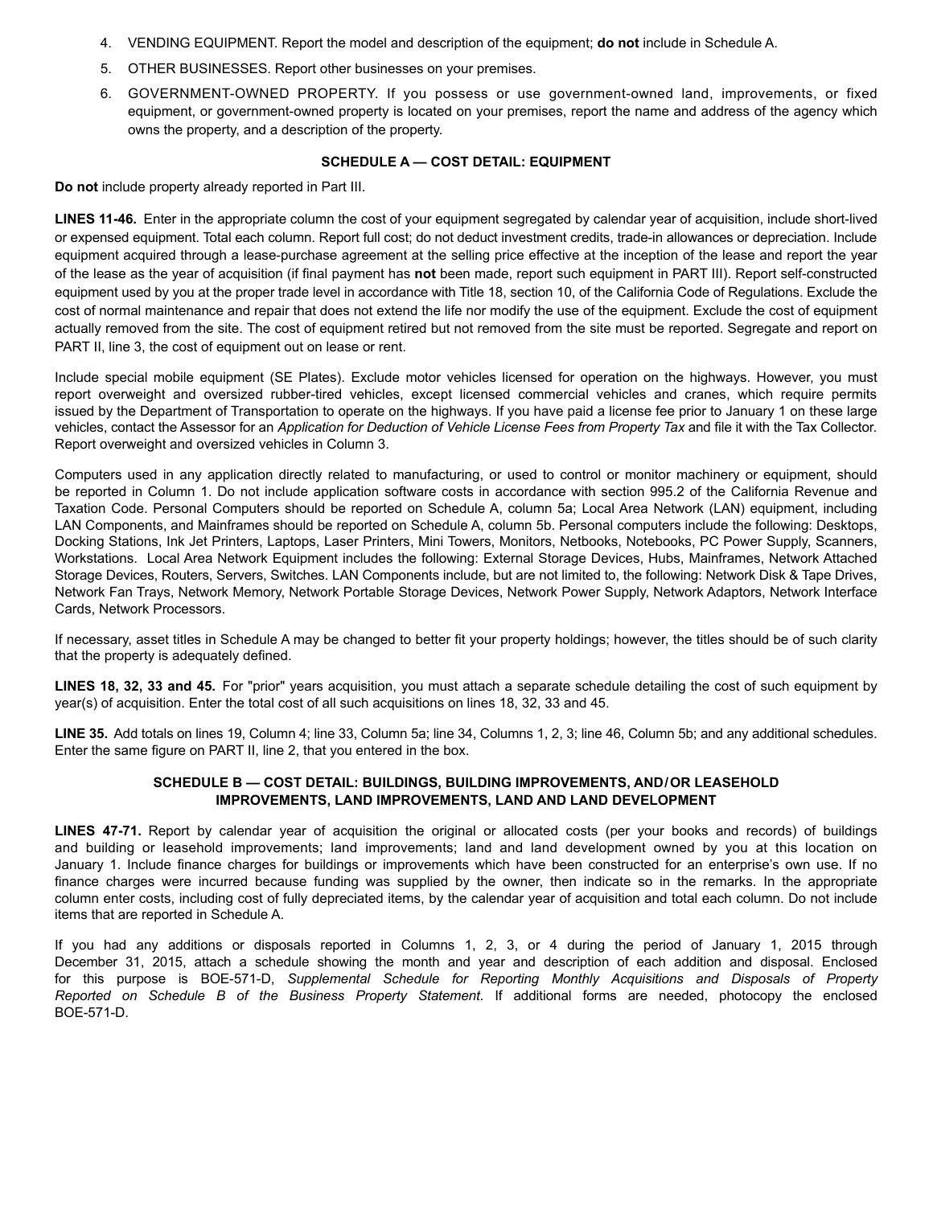- 4. VENDING EQUIPMENT. Report the model and description of the equipment; **do not** include in Schedule A.
- 5. OTHER BUSINESSES. Report other businesses on your premises.
- 6. GOVERNMENT-OWNED PROPERTY. If you possess or use government-owned land, improvements, or fixed equipment, or government-owned property is located on your premises, report the name and address of the agency which owns the property, and a description of the property.

#### **SCHEDULE A — COST DETAIL: EQUIPMENT**

**Do not** include property already reported in Part III.

 **LINES 11-46.** Enter in the appropriate column the cost of your equipment segregated by calendar year of acquisition, include short-lived equipment used by you at the proper trade level in accordance with Title 18, section 10, of the California Code of Regulations. Exclude the or expensed equipment. Total each column. Report full cost: do not deduct investment credits, trade-in allowances or depreciation. Include equipment acquired through a lease-purchase agreement at the selling price effective at the inception of the lease and report the year of the lease as the year of acquisition (if final payment has **not** been made, report such equipment in PART III). Report self-constructed cost of normal maintenance and repair that does not extend the life nor modify the use of the equipment. Exclude the cost of equipment actually removed from the site. The cost of equipment retired but not removed from the site must be reported. Segregate and report on PART II, line 3, the cost of equipment out on lease or rent.

Include special mobile equipment (SE Plates). Exclude motor vehicles licensed for operation on the highways. However, you must report overweight and oversized rubber-tired vehicles, except licensed commercial vehicles and cranes, which require permits issued by the Department of Transportation to operate on the highways. If you have paid a license fee prior to January 1 on these large vehicles, contact the Assessor for an *Application for Deduction of Vehicle License Fees from Property Tax* and file it with the Tax Collector. Report overweight and oversized vehicles in Column 3.

Computers used in any application directly related to manufacturing, or used to control or monitor machinery or equipment, should be reported in Column 1. Do not include application software costs in accordance with section 995.2 of the California Revenue and Taxation Code. Personal Computers should be reported on Schedule A, column 5a; Local Area Network (LAN) equipment, including LAN Components, and Mainframes should be reported on Schedule A, column 5b. Personal computers include the following: Desktops, Docking Stations, Ink Jet Printers, Laptops, Laser Printers, Mini Towers, Monitors, Netbooks, Notebooks, PC Power Supply, Scanners, Workstations. Local Area Network Equipment includes the following: External Storage Devices, Hubs, Mainframes, Network Attached Storage Devices, Routers, Servers, Switches. LAN Components include, but are not limited to, the following: Network Disk & Tape Drives, Network Fan Trays, Network Memory, Network Portable Storage Devices, Network Power Supply, Network Adaptors, Network Interface Cards, Network Processors.

If necessary, asset titles in Schedule A may be changed to better fit your property holdings; however, the titles should be of such clarity that the property is adequately defined.

**LINES 18, 32, 33 and 45.** For "prior" years acquisition, you must attach a separate schedule detailing the cost of such equipment by year(s) of acquisition. Enter the total cost of all such acquisitions on lines 18, 32, 33 and 45.

LINE 35. Add totals on lines 19, Column 4; line 33, Column 5a; line 34, Columns 1, 2, 3; line 46, Column 5b; and any additional schedules. Enter the same figure on PART II, line 2, that you entered in the box.

#### **SCHEDULE B — COST DETAIL: BUILDINGS, BUILDING IMPROVEMENTS, AND/OR LEASEHOLD IMPROVEMENTS, LAND IMPROVEMENTS, LAND AND LAND DEVELOPMENT**

**LINES 47-71.** Report by calendar year of acquisition the original or allocated costs (per your books and records) of buildings and building or leasehold improvements; land improvements; land and land development owned by you at this location on January 1. Include finance charges for buildings or improvements which have been constructed for an enterprise's own use. If no finance charges were incurred because funding was supplied by the owner, then indicate so in the remarks. In the appropriate column enter costs, including cost of fully depreciated items, by the calendar year of acquisition and total each column. Do not include items that are reported in Schedule A.

If you had any additions or disposals reported in Columns 1, 2, 3, or 4 during the period of January 1, 2015 through December 31, 2015, attach a schedule showing the month and year and description of each addition and disposal. Enclosed for this purpose is BOE-571-D, *Supplemental Schedule for Reporting Monthly Acquisitions and Disposals of Property Reported on Schedule B of the Business Property Statement*. If additional forms are needed, photocopy the enclosed BOE-571-D.